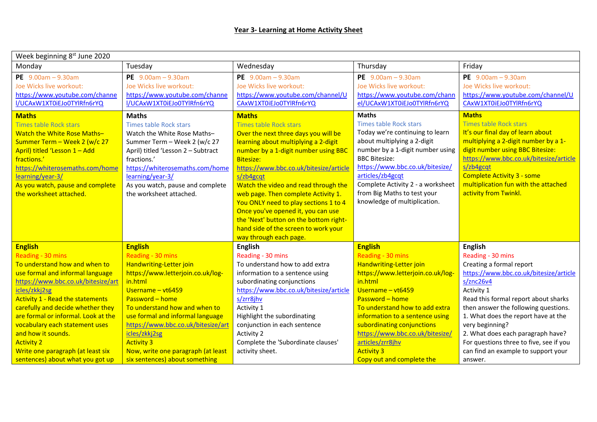| Week beginning 8 <sup>st</sup> June 2020                     |                                                              |                                                              |                                                              |                                                              |  |  |
|--------------------------------------------------------------|--------------------------------------------------------------|--------------------------------------------------------------|--------------------------------------------------------------|--------------------------------------------------------------|--|--|
| Monday                                                       | Tuesday                                                      | Wednesday                                                    | Thursday                                                     | Friday                                                       |  |  |
| PE $9.00am - 9.30am$<br>Joe Wicks live workout:              | PE $9.00am - 9.30am$<br>Joe Wicks live workout:              | PE $9.00am - 9.30am$<br>Joe Wicks live workout:              | PE $9.00am - 9.30am$<br>Joe Wicks live workout:              | PE $9.00am - 9.30am$<br>Joe Wicks live workout:              |  |  |
| https://www.youtube.com/channe<br>I/UCAxW1XT0iEJo0TYlRfn6rYQ | https://www.youtube.com/channe<br>I/UCAxW1XT0iEJo0TYlRfn6rYQ | https://www.youtube.com/channel/U<br>CAxW1XT0iEJo0TYlRfn6rYQ | https://www.youtube.com/chann<br>el/UCAxW1XT0iEJo0TYlRfn6rYQ | https://www.youtube.com/channel/U<br>CAxW1XT0iEJo0TYlRfn6rYQ |  |  |
| <b>Maths</b>                                                 | <b>Maths</b>                                                 | <b>Maths</b>                                                 | <b>Maths</b>                                                 | <b>Maths</b>                                                 |  |  |
| <b>Times table Rock stars</b>                                | <b>Times table Rock stars</b>                                | <b>Times table Rock stars</b>                                | <b>Times table Rock stars</b>                                | <b>Times table Rock stars</b>                                |  |  |
| Watch the White Rose Maths-                                  | Watch the White Rose Maths-                                  | Over the next three days you will be                         | Today we're continuing to learn                              | It's our final day of learn about                            |  |  |
| Summer Term - Week 2 (w/c 27                                 | Summer Term - Week 2 (w/c 27                                 | learning about multiplying a 2-digit                         | about multiplying a 2-digit                                  | multiplying a 2-digit number by a 1-                         |  |  |
| April) titled 'Lesson 1 - Add                                | April) titled 'Lesson 2 - Subtract                           | number by a 1-digit number using BBC                         | number by a 1-digit number using                             | digit number using BBC Bitesize:                             |  |  |
| fractions.'                                                  | fractions.'                                                  | <b>Bitesize:</b>                                             | <b>BBC Bitesize:</b>                                         | https://www.bbc.co.uk/bitesize/article                       |  |  |
| https://whiterosemaths.com/home                              | https://whiterosemaths.com/home                              | https://www.bbc.co.uk/bitesize/article                       | https://www.bbc.co.uk/bitesize/                              | s/zb4gcqt                                                    |  |  |
| learning/year-3/                                             | learning/year-3/                                             | s/zb4gcqt                                                    | articles/zb4gcqt                                             | <b>Complete Activity 3 - some</b>                            |  |  |
| As you watch, pause and complete                             | As you watch, pause and complete                             | Watch the video and read through the                         | Complete Activity 2 - a worksheet                            | multiplication fun with the attached                         |  |  |
| the worksheet attached.                                      | the worksheet attached.                                      | web page. Then complete Activity 1.                          | from Big Maths to test your                                  | activity from Twinkl.                                        |  |  |
|                                                              |                                                              | You ONLY need to play sections 1 to 4                        | knowledge of multiplication.                                 |                                                              |  |  |
|                                                              |                                                              | Once you've opened it, you can use                           |                                                              |                                                              |  |  |
|                                                              |                                                              | the 'Next' button on the bottom right-                       |                                                              |                                                              |  |  |
|                                                              |                                                              | hand side of the screen to work your                         |                                                              |                                                              |  |  |
|                                                              |                                                              | way through each page.                                       |                                                              |                                                              |  |  |
| <b>English</b>                                               | <b>English</b>                                               | <b>English</b>                                               | <b>English</b>                                               | <b>English</b>                                               |  |  |
| Reading - 30 mins                                            | Reading - 30 mins                                            | Reading - 30 mins                                            | Reading - 30 mins                                            | Reading - 30 mins                                            |  |  |
| To understand how and when to                                | Handwriting-Letter join                                      | To understand how to add extra                               | Handwriting-Letter join                                      | Creating a formal report                                     |  |  |
| use formal and informal language                             | https://www.letterjoin.co.uk/log-                            | information to a sentence using                              | https://www.letterjoin.co.uk/log-                            | https://www.bbc.co.uk/bitesize/article                       |  |  |
| https://www.bbc.co.uk/bitesize/art                           | in.html                                                      | subordinating conjunctions                                   | in.html                                                      | s/znc26v4                                                    |  |  |
| icles/zkkj2sg                                                | Username - vt6459                                            | https://www.bbc.co.uk/bitesize/article                       | Username - vt6459                                            | Activity 1                                                   |  |  |
| <b>Activity 1 - Read the statements</b>                      | Password - home                                              | s/zrr8jhv                                                    | Password - home                                              | Read this formal report about sharks                         |  |  |
| carefully and decide whether they                            | To understand how and when to                                | Activity 1                                                   | To understand how to add extra                               | then answer the following questions.                         |  |  |
| are formal or informal. Look at the                          | use formal and informal language                             | Highlight the subordinating                                  | information to a sentence using                              | 1. What does the report have at the                          |  |  |
| vocabulary each statement uses                               | https://www.bbc.co.uk/bitesize/art                           | conjunction in each sentence                                 | subordinating conjunctions                                   | very beginning?                                              |  |  |
| and how it sounds.                                           | icles/zkkj2sg                                                | Activity 2                                                   | https://www.bbc.co.uk/bitesize/                              | 2. What does each paragraph have?                            |  |  |
| <b>Activity 2</b>                                            | <b>Activity 3</b>                                            | Complete the 'Subordinate clauses'                           | articles/zrr8jhv                                             | For questions three to five, see if you                      |  |  |
| Write one paragraph (at least six                            | Now, write one paragraph (at least                           | activity sheet.                                              | <b>Activity 3</b>                                            | can find an example to support your                          |  |  |
| sentences) about what you got up                             | six sentences) about something                               |                                                              | Copy out and complete the                                    | answer.                                                      |  |  |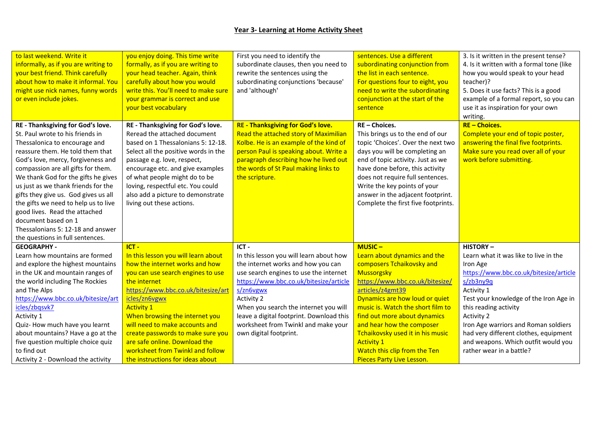## **Year 3- Learning at Home Activity Sheet**

| to last weekend. Write it<br>informally, as if you are writing to<br>your best friend. Think carefully<br>about how to make it informal. You<br>might use nick names, funny words<br>or even include jokes.                                                                                                                                                                                                                                                                                                           | you enjoy doing. This time write<br>formally, as if you are writing to<br>your head teacher. Again, think<br>carefully about how you would<br>write this. You'll need to make sure<br>your grammar is correct and use<br>your best vocabulary                                                                                                              | First you need to identify the<br>subordinate clauses, then you need to<br>rewrite the sentences using the<br>subordinating conjunctions 'because'<br>and 'although'                                                                                                     | sentences. Use a different<br>subordinating conjunction from<br>the list in each sentence.<br>For questions four to eight, you<br>need to write the subordinating<br>conjunction at the start of the<br>sentence                                                                                                                                | 3. Is it written in the present tense?<br>4. Is it written with a formal tone (like<br>how you would speak to your head<br>teacher)?<br>5. Does it use facts? This is a good<br>example of a formal report, so you can<br>use it as inspiration for your own |
|-----------------------------------------------------------------------------------------------------------------------------------------------------------------------------------------------------------------------------------------------------------------------------------------------------------------------------------------------------------------------------------------------------------------------------------------------------------------------------------------------------------------------|------------------------------------------------------------------------------------------------------------------------------------------------------------------------------------------------------------------------------------------------------------------------------------------------------------------------------------------------------------|--------------------------------------------------------------------------------------------------------------------------------------------------------------------------------------------------------------------------------------------------------------------------|-------------------------------------------------------------------------------------------------------------------------------------------------------------------------------------------------------------------------------------------------------------------------------------------------------------------------------------------------|--------------------------------------------------------------------------------------------------------------------------------------------------------------------------------------------------------------------------------------------------------------|
|                                                                                                                                                                                                                                                                                                                                                                                                                                                                                                                       |                                                                                                                                                                                                                                                                                                                                                            |                                                                                                                                                                                                                                                                          |                                                                                                                                                                                                                                                                                                                                                 | writing.                                                                                                                                                                                                                                                     |
| RE - Thanksgiving for God's love.<br>St. Paul wrote to his friends in<br>Thessalonica to encourage and<br>reassure them. He told them that<br>God's love, mercy, forgiveness and<br>compassion are all gifts for them.<br>We thank God for the gifts he gives<br>us just as we thank friends for the<br>gifts they give us. God gives us all<br>the gifts we need to help us to live<br>good lives. Read the attached<br>document based on 1<br>Thessalonians 5: 12-18 and answer<br>the questions in full sentences. | RE - Thanksgiving for God's love.<br>Reread the attached document<br>based on 1 Thessalonians 5: 12-18.<br>Select all the positive words in the<br>passage e.g. love, respect,<br>encourage etc. and give examples<br>of what people might do to be<br>loving, respectful etc. You could<br>also add a picture to demonstrate<br>living out these actions. | <b>RE - Thanksgiving for God's love.</b><br>Read the attached story of Maximilian<br>Kolbe. He is an example of the kind of<br>person Paul is speaking about. Write a<br>paragraph describing how he lived out<br>the words of St Paul making links to<br>the scripture. | RE-Choices.<br>This brings us to the end of our<br>topic 'Choices'. Over the next two<br>days you will be completing an<br>end of topic activity. Just as we<br>have done before, this activity<br>does not require full sentences.<br>Write the key points of your<br>answer in the adjacent footprint.<br>Complete the first five footprints. | <b>RE-Choices.</b><br>Complete your end of topic poster,<br>answering the final five footprints.<br>Make sure you read over all of your<br>work before submitting.                                                                                           |
| <b>GEOGRAPHY -</b>                                                                                                                                                                                                                                                                                                                                                                                                                                                                                                    | $ICT -$                                                                                                                                                                                                                                                                                                                                                    | ICT-                                                                                                                                                                                                                                                                     | $MUSIC -$                                                                                                                                                                                                                                                                                                                                       | <b>HISTORY-</b>                                                                                                                                                                                                                                              |
| Learn how mountains are formed                                                                                                                                                                                                                                                                                                                                                                                                                                                                                        | In this lesson you will learn about                                                                                                                                                                                                                                                                                                                        | In this lesson you will learn about how                                                                                                                                                                                                                                  | Learn about dynamics and the                                                                                                                                                                                                                                                                                                                    | Learn what it was like to live in the                                                                                                                                                                                                                        |
| and explore the highest mountains                                                                                                                                                                                                                                                                                                                                                                                                                                                                                     | how the internet works and how                                                                                                                                                                                                                                                                                                                             | the internet works and how you can                                                                                                                                                                                                                                       | composers Tchaikovsky and                                                                                                                                                                                                                                                                                                                       | Iron Age                                                                                                                                                                                                                                                     |
| in the UK and mountain ranges of                                                                                                                                                                                                                                                                                                                                                                                                                                                                                      | you can use search engines to use                                                                                                                                                                                                                                                                                                                          | use search engines to use the internet                                                                                                                                                                                                                                   | Mussorgsky                                                                                                                                                                                                                                                                                                                                      | https://www.bbc.co.uk/bitesize/article                                                                                                                                                                                                                       |
| the world including The Rockies                                                                                                                                                                                                                                                                                                                                                                                                                                                                                       | the internet                                                                                                                                                                                                                                                                                                                                               | https://www.bbc.co.uk/bitesize/article                                                                                                                                                                                                                                   | https://www.bbc.co.uk/bitesize/                                                                                                                                                                                                                                                                                                                 | $s$ /zb3ny9q                                                                                                                                                                                                                                                 |
| and The Alps                                                                                                                                                                                                                                                                                                                                                                                                                                                                                                          | https://www.bbc.co.uk/bitesize/art                                                                                                                                                                                                                                                                                                                         | s/zn6vgwx                                                                                                                                                                                                                                                                | articles/z4gmt39                                                                                                                                                                                                                                                                                                                                | Activity 1                                                                                                                                                                                                                                                   |
| https://www.bbc.co.uk/bitesize/art                                                                                                                                                                                                                                                                                                                                                                                                                                                                                    | icles/zn6vgwx                                                                                                                                                                                                                                                                                                                                              | Activity 2                                                                                                                                                                                                                                                               | Dynamics are how loud or quiet                                                                                                                                                                                                                                                                                                                  | Test your knowledge of the Iron Age in                                                                                                                                                                                                                       |
| icles/zbqsvk7                                                                                                                                                                                                                                                                                                                                                                                                                                                                                                         | <b>Activity 1</b>                                                                                                                                                                                                                                                                                                                                          | When you search the internet you will                                                                                                                                                                                                                                    | music is. Watch the short film to                                                                                                                                                                                                                                                                                                               | this reading activity                                                                                                                                                                                                                                        |
| Activity 1                                                                                                                                                                                                                                                                                                                                                                                                                                                                                                            | When browsing the internet you                                                                                                                                                                                                                                                                                                                             | leave a digital footprint. Download this                                                                                                                                                                                                                                 | find out more about dynamics                                                                                                                                                                                                                                                                                                                    | Activity 2                                                                                                                                                                                                                                                   |
| Quiz- How much have you learnt                                                                                                                                                                                                                                                                                                                                                                                                                                                                                        | will need to make accounts and                                                                                                                                                                                                                                                                                                                             | worksheet from Twinkl and make your                                                                                                                                                                                                                                      | and hear how the composer                                                                                                                                                                                                                                                                                                                       | Iron Age warriors and Roman soldiers                                                                                                                                                                                                                         |
| about mountains? Have a go at the                                                                                                                                                                                                                                                                                                                                                                                                                                                                                     | create passwords to make sure you                                                                                                                                                                                                                                                                                                                          | own digital footprint.                                                                                                                                                                                                                                                   | Tchaikovsky used it in his music                                                                                                                                                                                                                                                                                                                | had very different clothes, equipment                                                                                                                                                                                                                        |
| five question multiple choice quiz                                                                                                                                                                                                                                                                                                                                                                                                                                                                                    | are safe online. Download the                                                                                                                                                                                                                                                                                                                              |                                                                                                                                                                                                                                                                          | <b>Activity 1</b>                                                                                                                                                                                                                                                                                                                               | and weapons. Which outfit would you                                                                                                                                                                                                                          |
| to find out                                                                                                                                                                                                                                                                                                                                                                                                                                                                                                           | worksheet from Twinkl and follow                                                                                                                                                                                                                                                                                                                           |                                                                                                                                                                                                                                                                          | Watch this clip from the Ten                                                                                                                                                                                                                                                                                                                    | rather wear in a battle?                                                                                                                                                                                                                                     |
| Activity 2 - Download the activity                                                                                                                                                                                                                                                                                                                                                                                                                                                                                    | the instructions for ideas about                                                                                                                                                                                                                                                                                                                           |                                                                                                                                                                                                                                                                          | <b>Pieces Party Live Lesson.</b>                                                                                                                                                                                                                                                                                                                |                                                                                                                                                                                                                                                              |